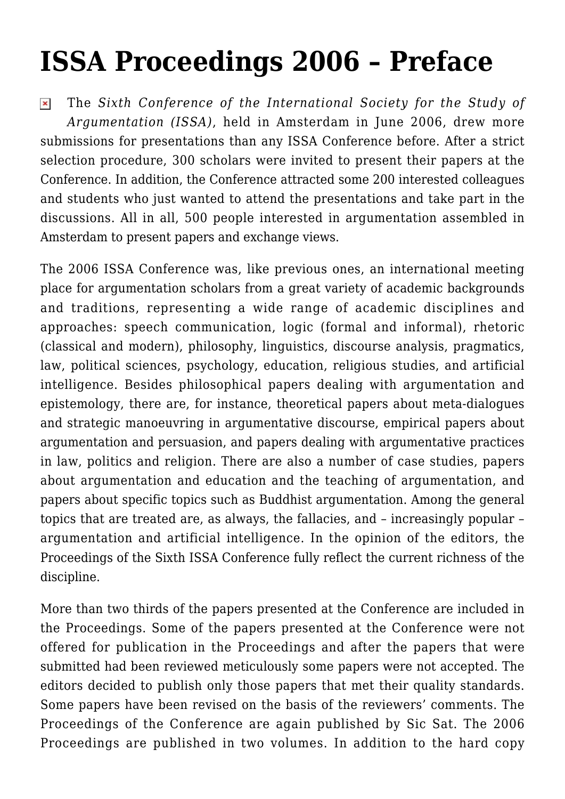## **[ISSA Proceedings 2006 – Preface](https://rozenbergquarterly.com/issa-proceedings-2006-preface/)**

The *Sixth Conference of the International Society for the Study of*  $\pmb{\times}$ *Argumentation (ISSA)*, held in Amsterdam in June 2006, drew more submissions for presentations than any ISSA Conference before. After a strict selection procedure, 300 scholars were invited to present their papers at the Conference. In addition, the Conference attracted some 200 interested colleagues and students who just wanted to attend the presentations and take part in the discussions. All in all, 500 people interested in argumentation assembled in Amsterdam to present papers and exchange views.

The 2006 ISSA Conference was, like previous ones, an international meeting place for argumentation scholars from a great variety of academic backgrounds and traditions, representing a wide range of academic disciplines and approaches: speech communication, logic (formal and informal), rhetoric (classical and modern), philosophy, linguistics, discourse analysis, pragmatics, law, political sciences, psychology, education, religious studies, and artificial intelligence. Besides philosophical papers dealing with argumentation and epistemology, there are, for instance, theoretical papers about meta-dialogues and strategic manoeuvring in argumentative discourse, empirical papers about argumentation and persuasion, and papers dealing with argumentative practices in law, politics and religion. There are also a number of case studies, papers about argumentation and education and the teaching of argumentation, and papers about specific topics such as Buddhist argumentation. Among the general topics that are treated are, as always, the fallacies, and – increasingly popular – argumentation and artificial intelligence. In the opinion of the editors, the Proceedings of the Sixth ISSA Conference fully reflect the current richness of the discipline.

More than two thirds of the papers presented at the Conference are included in the Proceedings. Some of the papers presented at the Conference were not offered for publication in the Proceedings and after the papers that were submitted had been reviewed meticulously some papers were not accepted. The editors decided to publish only those papers that met their quality standards. Some papers have been revised on the basis of the reviewers' comments. The Proceedings of the Conference are again published by Sic Sat. The 2006 Proceedings are published in two volumes. In addition to the hard copy